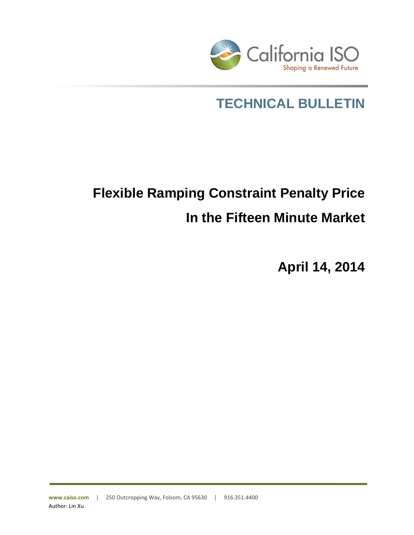

## **TECHNICAL BULLETIN**

# **Flexible Ramping Constraint Penalty Price In the Fifteen Minute Market**

**April 14, 2014**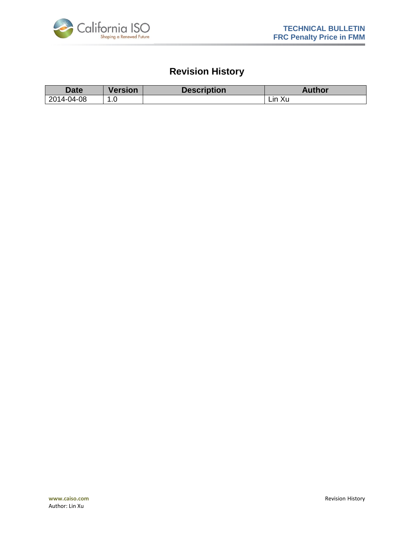

### **Revision History**

| Date       | <b>Version</b> | <b>Description</b> | <b>Author</b> |
|------------|----------------|--------------------|---------------|
| 2014-04-08 | .∪             |                    | Xu<br>Lın     |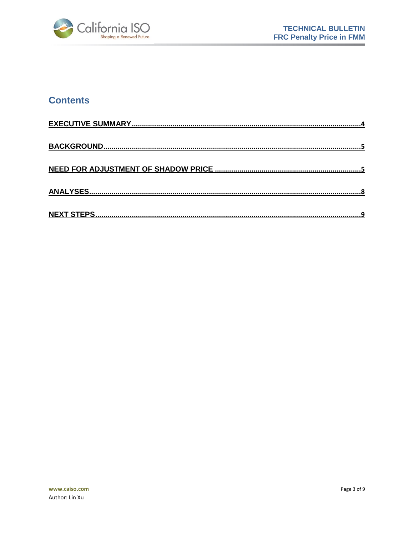

#### **Contents**

| <b>NEXT STEPS</b> |
|-------------------|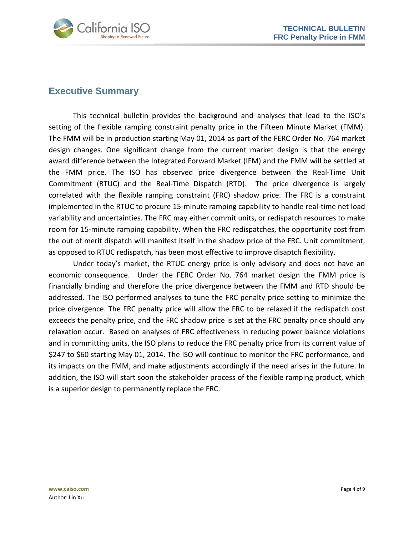

#### <span id="page-3-0"></span>**Executive Summary**

This technical bulletin provides the background and analyses that lead to the ISO's setting of the flexible ramping constraint penalty price in the Fifteen Minute Market (FMM). The FMM will be in production starting May 01, 2014 as part of the FERC Order No. 764 market design changes. One significant change from the current market design is that the energy award difference between the Integrated Forward Market (IFM) and the FMM will be settled at the FMM price. The ISO has observed price divergence between the Real-Time Unit Commitment (RTUC) and the Real-Time Dispatch (RTD). The price divergence is largely correlated with the flexible ramping constraint (FRC) shadow price. The FRC is a constraint implemented in the RTUC to procure 15-minute ramping capability to handle real-time net load variability and uncertainties. The FRC may either commit units, or redispatch resources to make room for 15-minute ramping capability. When the FRC redispatches, the opportunity cost from the out of merit dispatch will manifest itself in the shadow price of the FRC. Unit commitment, as opposed to RTUC redispatch, has been most effective to improve disaptch flexibility.

Under today's market, the RTUC energy price is only advisory and does not have an economic consequence. Under the FERC Order No. 764 market design the FMM price is financially binding and therefore the price divergence between the FMM and RTD should be addressed. The ISO performed analyses to tune the FRC penalty price setting to minimize the price divergence. The FRC penalty price will allow the FRC to be relaxed if the redispatch cost exceeds the penalty price, and the FRC shadow price is set at the FRC penalty price should any relaxation occur. Based on analyses of FRC effectiveness in reducing power balance violations and in committing units, the ISO plans to reduce the FRC penalty price from its current value of \$247 to \$60 starting May 01, 2014. The ISO will continue to monitor the FRC performance, and its impacts on the FMM, and make adjustments accordingly if the need arises in the future. In addition, the ISO will start soon the stakeholder process of the flexible ramping product, which is a superior design to permanently replace the FRC.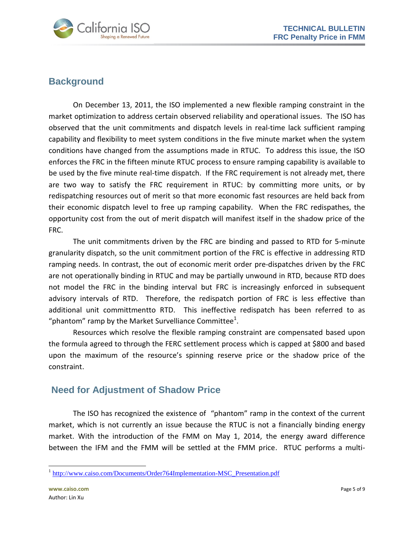

#### <span id="page-4-0"></span>**Background**

On December 13, 2011, the ISO implemented a new flexible ramping constraint in the market optimization to address certain observed reliability and operational issues. The ISO has observed that the unit commitments and dispatch levels in real-time lack sufficient ramping capability and flexibility to meet system conditions in the five minute market when the system conditions have changed from the assumptions made in RTUC. To address this issue, the ISO enforces the FRC in the fifteen minute RTUC process to ensure ramping capability is available to be used by the five minute real-time dispatch. If the FRC requirement is not already met, there are two way to satisfy the FRC requirement in RTUC: by committing more units, or by redispatching resources out of merit so that more economic fast resources are held back from their economic dispatch level to free up ramping capability. When the FRC redispathes, the opportunity cost from the out of merit dispatch will manifest itself in the shadow price of the FRC.

The unit commitments driven by the FRC are binding and passed to RTD for 5-minute granularity dispatch, so the unit commitment portion of the FRC is effective in addressing RTD ramping needs. In contrast, the out of economic merit order pre-dispatches driven by the FRC are not operationally binding in RTUC and may be partially unwound in RTD, because RTD does not model the FRC in the binding interval but FRC is increasingly enforced in subsequent advisory intervals of RTD. Therefore, the redispatch portion of FRC is less effective than additional unit committmentto RTD. This ineffective redispatch has been referred to as "phantom" ramp by the Market Survelliance Committee<sup>1</sup>.

Resources which resolve the flexible ramping constraint are compensated based upon the formula agreed to through the FERC settlement process which is capped at \$800 and based upon the maximum of the resource's spinning reserve price or the shadow price of the constraint.

#### <span id="page-4-1"></span>**Need for Adjustment of Shadow Price**

The ISO has recognized the existence of "phantom" ramp in the context of the current market, which is not currently an issue because the RTUC is not a financially binding energy market. With the introduction of the FMM on May 1, 2014, the energy award difference between the IFM and the FMM will be settled at the FMM price. RTUC performs a multi-

 $\overline{a}$ 

<sup>&</sup>lt;sup>1</sup> [http://www.caiso.com/Documents/Order764Implementation-MSC\\_Presentation.pdf](http://www.caiso.com/Documents/Order764Implementation-MSC_Presentation.pdf)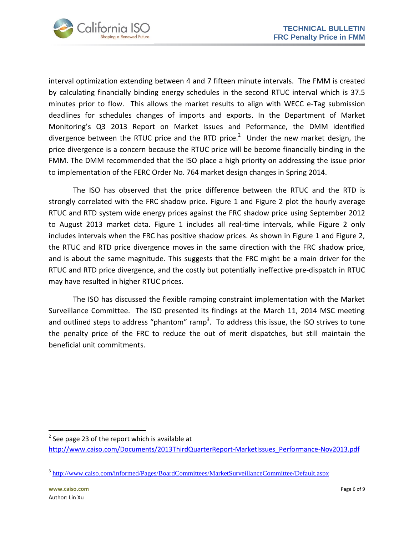

interval optimization extending between 4 and 7 fifteen minute intervals. The FMM is created by calculating financially binding energy schedules in the second RTUC interval which is 37.5 minutes prior to flow. This allows the market results to align with WECC e-Tag submission deadlines for schedules changes of imports and exports. In the Department of Market Monitoring's Q3 2013 Report on Market Issues and Peformance, the DMM identified divergence between the RTUC price and the RTD price.<sup>2</sup> Under the new market design, the price divergence is a concern because the RTUC price will be become financially binding in the FMM. The DMM recommended that the ISO place a high priority on addressing the issue prior to implementation of the FERC Order No. 764 market design changes in Spring 2014.

The ISO has observed that the price difference between the RTUC and the RTD is strongly correlated with the FRC shadow price. Figure 1 and Figure 2 plot the hourly average RTUC and RTD system wide energy prices against the FRC shadow price using September 2012 to August 2013 market data. Figure 1 includes all real-time intervals, while Figure 2 only includes intervals when the FRC has positive shadow prices. As shown in Figure 1 and Figure 2, the RTUC and RTD price divergence moves in the same direction with the FRC shadow price, and is about the same magnitude. This suggests that the FRC might be a main driver for the RTUC and RTD price divergence, and the costly but potentially ineffective pre-dispatch in RTUC may have resulted in higher RTUC prices.

The ISO has discussed the flexible ramping constraint implementation with the Market Surveillance Committee. The ISO presented its findings at the March 11, 2014 MSC meeting and outlined steps to address "phantom" ramp<sup>3</sup>. To address this issue, the ISO strives to tune the penalty price of the FRC to reduce the out of merit dispatches, but still maintain the beneficial unit commitments.

 $\overline{a}$ 

 $2$  See page 23 of the report which is available at

[http://www.caiso.com/Documents/2013ThirdQuarterReport-MarketIssues\\_Performance-Nov2013.pdf](http://www.caiso.com/Documents/2013ThirdQuarterReport-MarketIssues_Performance-Nov2013.pdf)

<sup>&</sup>lt;sup>3</sup> <http://www.caiso.com/informed/Pages/BoardCommittees/MarketSurveillanceCommittee/Default.aspx>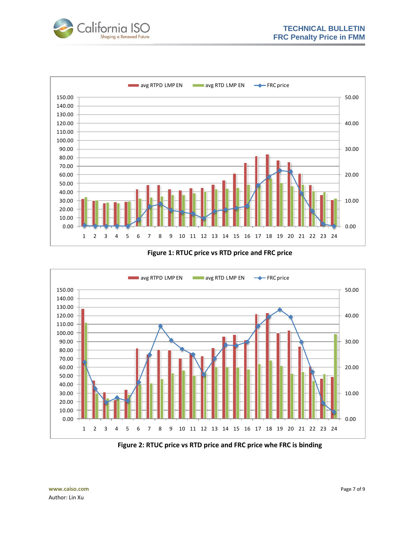



#### **Figure 1: RTUC price vs RTD price and FRC price**



**Figure 2: RTUC price vs RTD price and FRC price whe FRC is binding**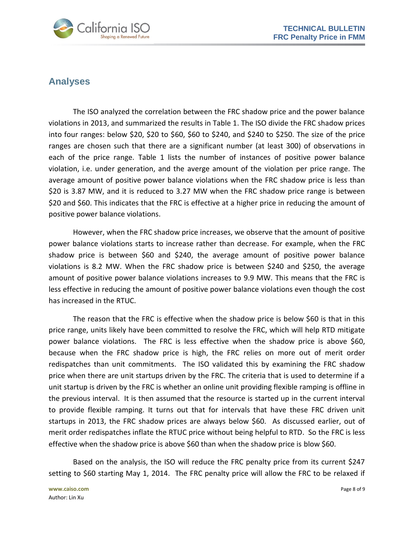



#### <span id="page-7-0"></span>**Analyses**

The ISO analyzed the correlation between the FRC shadow price and the power balance violations in 2013, and summarized the results in Table 1. The ISO divide the FRC shadow prices into four ranges: below \$20, \$20 to \$60, \$60 to \$240, and \$240 to \$250. The size of the price ranges are chosen such that there are a significant number (at least 300) of observations in each of the price range. Table 1 lists the number of instances of positive power balance violation, i.e. under generation, and the averge amount of the violation per price range. The average amount of positive power balance violations when the FRC shadow price is less than \$20 is 3.87 MW, and it is reduced to 3.27 MW when the FRC shadow price range is between \$20 and \$60. This indicates that the FRC is effective at a higher price in reducing the amount of positive power balance violations.

However, when the FRC shadow price increases, we observe that the amount of positive power balance violations starts to increase rather than decrease. For example, when the FRC shadow price is between \$60 and \$240, the average amount of positive power balance violations is 8.2 MW. When the FRC shadow price is between \$240 and \$250, the average amount of positive power balance violations increases to 9.9 MW. This means that the FRC is less effective in reducing the amount of positive power balance violations even though the cost has increased in the RTUC.

The reason that the FRC is effective when the shadow price is below \$60 is that in this price range, units likely have been committed to resolve the FRC, which will help RTD mitigate power balance violations. The FRC is less effective when the shadow price is above \$60, because when the FRC shadow price is high, the FRC relies on more out of merit order redispatches than unit commitments. The ISO validated this by examining the FRC shadow price when there are unit startups driven by the FRC. The criteria that is used to determine if a unit startup is driven by the FRC is whether an online unit providing flexible ramping is offline in the previous interval. It is then assumed that the resource is started up in the current interval to provide flexible ramping. It turns out that for intervals that have these FRC driven unit startups in 2013, the FRC shadow prices are always below \$60. As discussed earlier, out of merit order redispatches inflate the RTUC price without being helpful to RTD. So the FRC is less effective when the shadow price is above \$60 than when the shadow price is blow \$60.

Based on the analysis, the ISO will reduce the FRC penalty price from its current \$247 setting to \$60 starting May 1, 2014. The FRC penalty price will allow the FRC to be relaxed if